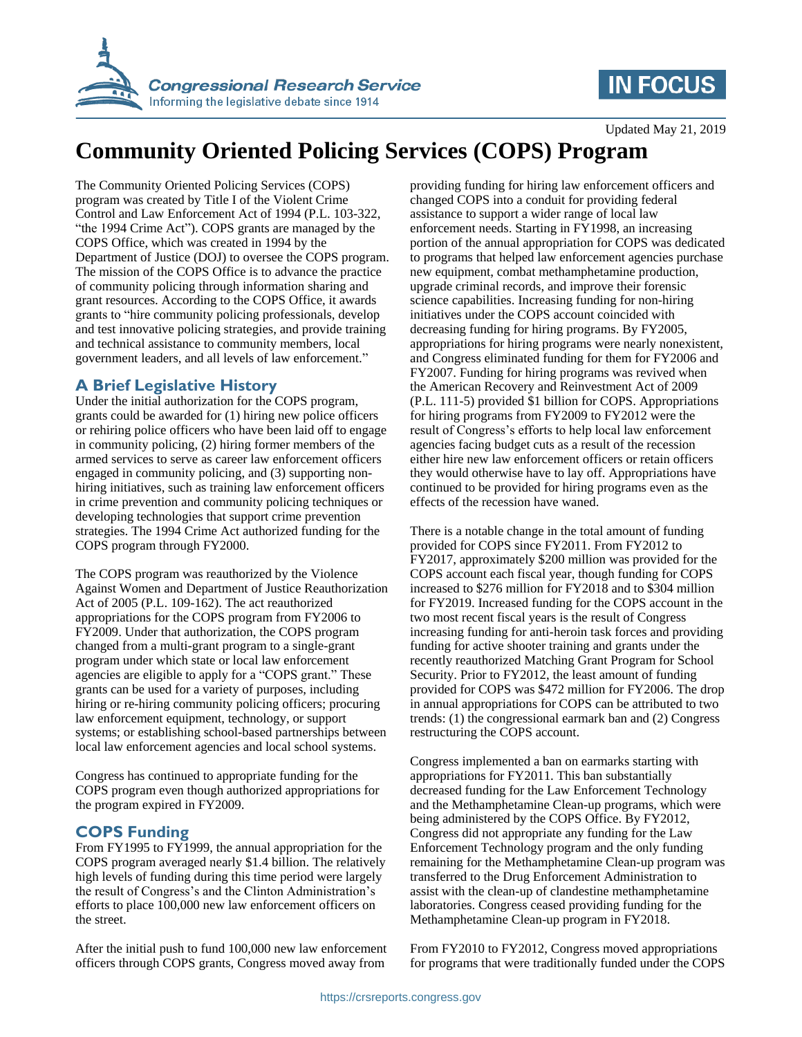

## **IN FOCUS**

Updated May 21, 2019

# **Community Oriented Policing Services (COPS) Program**

The Community Oriented Policing Services (COPS) program was created by Title I of the Violent Crime Control and Law Enforcement Act of 1994 (P.L. 103-322, "the 1994 Crime Act"). COPS grants are managed by the COPS Office, which was created in 1994 by the Department of Justice (DOJ) to oversee the COPS program. The mission of the COPS Office is to advance the practice of community policing through information sharing and grant resources. According to the COPS Office, it awards grants to "hire community policing professionals, develop and test innovative policing strategies, and provide training and technical assistance to community members, local government leaders, and all levels of law enforcement."

### **A Brief Legislative History**

Under the initial authorization for the COPS program, grants could be awarded for (1) hiring new police officers or rehiring police officers who have been laid off to engage in community policing, (2) hiring former members of the armed services to serve as career law enforcement officers engaged in community policing, and (3) supporting nonhiring initiatives, such as training law enforcement officers in crime prevention and community policing techniques or developing technologies that support crime prevention strategies. The 1994 Crime Act authorized funding for the COPS program through FY2000.

The COPS program was reauthorized by the Violence Against Women and Department of Justice Reauthorization Act of 2005 (P.L. 109-162). The act reauthorized appropriations for the COPS program from FY2006 to FY2009. Under that authorization, the COPS program changed from a multi-grant program to a single-grant program under which state or local law enforcement agencies are eligible to apply for a "COPS grant." These grants can be used for a variety of purposes, including hiring or re-hiring community policing officers; procuring law enforcement equipment, technology, or support systems; or establishing school-based partnerships between local law enforcement agencies and local school systems.

Congress has continued to appropriate funding for the COPS program even though authorized appropriations for the program expired in FY2009.

### **COPS Funding**

From FY1995 to FY1999, the annual appropriation for the COPS program averaged nearly \$1.4 billion. The relatively high levels of funding during this time period were largely the result of Congress's and the Clinton Administration's efforts to place 100,000 new law enforcement officers on the street.

After the initial push to fund 100,000 new law enforcement officers through COPS grants, Congress moved away from

providing funding for hiring law enforcement officers and changed COPS into a conduit for providing federal assistance to support a wider range of local law enforcement needs. Starting in FY1998, an increasing portion of the annual appropriation for COPS was dedicated to programs that helped law enforcement agencies purchase new equipment, combat methamphetamine production, upgrade criminal records, and improve their forensic science capabilities. Increasing funding for non-hiring initiatives under the COPS account coincided with decreasing funding for hiring programs. By FY2005, appropriations for hiring programs were nearly nonexistent, and Congress eliminated funding for them for FY2006 and FY2007. Funding for hiring programs was revived when the American Recovery and Reinvestment Act of 2009 (P.L. 111-5) provided \$1 billion for COPS. Appropriations for hiring programs from FY2009 to FY2012 were the result of Congress's efforts to help local law enforcement agencies facing budget cuts as a result of the recession either hire new law enforcement officers or retain officers they would otherwise have to lay off. Appropriations have continued to be provided for hiring programs even as the effects of the recession have waned.

There is a notable change in the total amount of funding provided for COPS since FY2011. From FY2012 to FY2017, approximately \$200 million was provided for the COPS account each fiscal year, though funding for COPS increased to \$276 million for FY2018 and to \$304 million for FY2019. Increased funding for the COPS account in the two most recent fiscal years is the result of Congress increasing funding for anti-heroin task forces and providing funding for active shooter training and grants under the recently reauthorized Matching Grant Program for School Security. Prior to FY2012, the least amount of funding provided for COPS was \$472 million for FY2006. The drop in annual appropriations for COPS can be attributed to two trends: (1) the congressional earmark ban and (2) Congress restructuring the COPS account.

Congress implemented a ban on earmarks starting with appropriations for FY2011. This ban substantially decreased funding for the Law Enforcement Technology and the Methamphetamine Clean-up programs, which were being administered by the COPS Office. By FY2012, Congress did not appropriate any funding for the Law Enforcement Technology program and the only funding remaining for the Methamphetamine Clean-up program was transferred to the Drug Enforcement Administration to assist with the clean-up of clandestine methamphetamine laboratories. Congress ceased providing funding for the Methamphetamine Clean-up program in FY2018.

From FY2010 to FY2012, Congress moved appropriations for programs that were traditionally funded under the COPS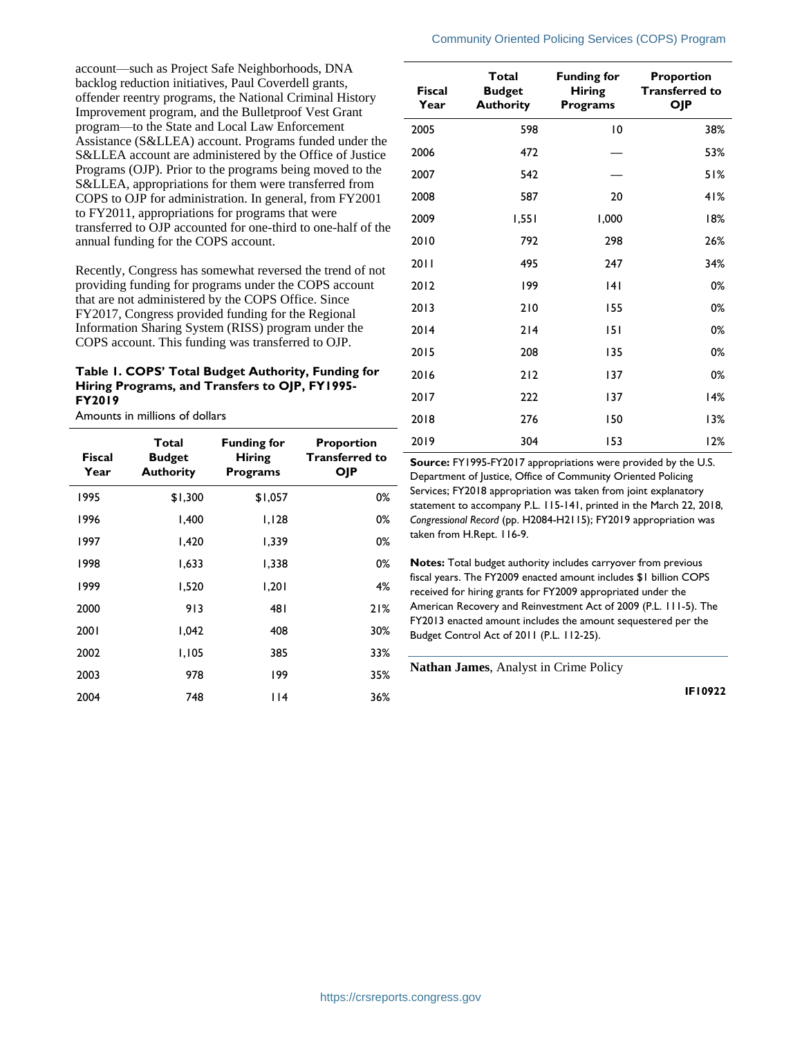#### Community Oriented Policing Services (COPS) Program

account—such as Project Safe Neighborhoods, DNA backlog reduction initiatives, Paul Coverdell grants, offender reentry programs, the National Criminal History Improvement program, and the Bulletproof Vest Grant program—to the State and Local Law Enforcement Assistance (S&LLEA) account. Programs funded under the S&LLEA account are administered by the Office of Justice Programs (OJP). Prior to the programs being moved to the S&LLEA, appropriations for them were transferred from COPS to OJP for administration. In general, from FY2001 to FY2011, appropriations for programs that were transferred to OJP accounted for one-third to one-half of the annual funding for the COPS account.

Recently, Congress has somewhat reversed the trend of not providing funding for programs under the COPS account that are not administered by the COPS Office. Since FY2017, Congress provided funding for the Regional Information Sharing System (RISS) program under the COPS account. This funding was transferred to OJP.

#### **Table 1. COPS' Total Budget Authority, Funding for Hiring Programs, and Transfers to OJP, FY1995- FY2019**

Amounts in millions of dollars

| Fiscal<br>Year | Total<br><b>Budget</b><br><b>Authority</b> | <b>Funding for</b><br><b>Hiring</b><br>Programs | Proportion<br><b>Transferred to</b><br>OJP |
|----------------|--------------------------------------------|-------------------------------------------------|--------------------------------------------|
| 1995           | \$1,300                                    | \$1,057                                         | 0%                                         |
| 1996           | 1,400                                      | 1,128                                           | 0%                                         |
| 1997           | 1,420                                      | 1,339                                           | 0%                                         |
| 1998           | 1.633                                      | 1,338                                           | 0%                                         |
| 1999           | 1,520                                      | 1,201                                           | 4%                                         |
| 2000           | 913                                        | 481                                             | 21%                                        |
| 2001           | 1,042                                      | 408                                             | 30%                                        |
| 2002           | 1,105                                      | 385                                             | 33%                                        |
| 2003           | 978                                        | 199                                             | 35%                                        |
| 2004           | 748                                        | 114                                             | 36%                                        |

| <b>Fiscal</b><br>Year | Total<br><b>Budget</b><br><b>Authority</b> | <b>Funding for</b><br><b>Hiring</b><br><b>Programs</b> | <b>Proportion</b><br><b>Transferred to</b><br><b>OJP</b> |
|-----------------------|--------------------------------------------|--------------------------------------------------------|----------------------------------------------------------|
| 2005                  | 598                                        | 10                                                     | 38%                                                      |
| 2006                  | 472                                        |                                                        | 53%                                                      |
| 2007                  | 542                                        |                                                        | 51%                                                      |
| 2008                  | 587                                        | 20                                                     | 41%                                                      |
| 2009                  | 1,551                                      | 1,000                                                  | 18%                                                      |
| 2010                  | 792                                        | 298                                                    | 26%                                                      |
| 2011                  | 495                                        | 247                                                    | 34%                                                      |
| 2012                  | 199                                        | 4                                                      | 0%                                                       |
| 2013                  | 210                                        | 155                                                    | 0%                                                       |
| 2014                  | 214                                        | 151                                                    | 0%                                                       |
| 2015                  | 208                                        | 135                                                    | 0%                                                       |
| 2016                  | 212                                        | 137                                                    | 0%                                                       |
| 2017                  | 222                                        | 137                                                    | 14%                                                      |
| 2018                  | 276                                        | 150                                                    | 13%                                                      |
| 2019                  | 304                                        | 153                                                    | 12%                                                      |

**Source:** FY1995-FY2017 appropriations were provided by the U.S. Department of Justice, Office of Community Oriented Policing Services; FY2018 appropriation was taken from joint explanatory statement to accompany P.L. 115-141, printed in the March 22, 2018, *Congressional Record* (pp. H2084-H2115); FY2019 appropriation was taken from H.Rept. 116-9.

**Notes:** Total budget authority includes carryover from previous fiscal years. The FY2009 enacted amount includes \$1 billion COPS received for hiring grants for FY2009 appropriated under the American Recovery and Reinvestment Act of 2009 (P.L. 111-5). The FY2013 enacted amount includes the amount sequestered per the Budget Control Act of 2011 (P.L. 112-25).

**Nathan James**, Analyst in Crime Policy

**IF10922**